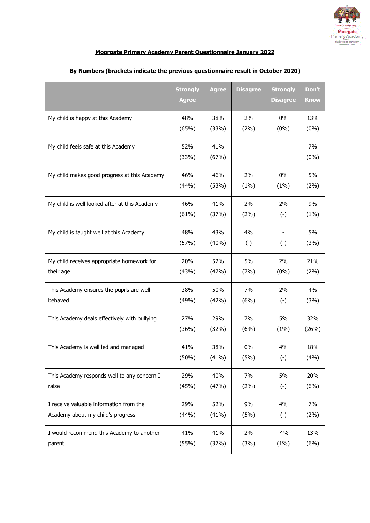

# **Moorgate Primary Academy Parent Questionnaire January 2022**

|                                               | <b>Strongly</b><br><b>Agree</b> | <b>Agree</b> | <b>Disagree</b> | <b>Strongly</b><br><b>Disagree</b> | Don't<br><b>Know</b> |
|-----------------------------------------------|---------------------------------|--------------|-----------------|------------------------------------|----------------------|
| My child is happy at this Academy             | 48%                             | 38%          | 2%              | 0%                                 | 13%                  |
|                                               | (65%)                           | (33%)        | (2%)            | $(0\%)$                            | $(0\%)$              |
| My child feels safe at this Academy           | 52%<br>(33%)                    | 41%<br>(67%) |                 |                                    | 7%<br>(0% )          |
| My child makes good progress at this Academy  | 46%                             | 46%          | 2%              | 0%                                 | 5%                   |
|                                               | (44%)                           | (53%)        | (1%)            | (1%)                               | (2%)                 |
| My child is well looked after at this Academy | 46%                             | 41%          | 2%              | 2%                                 | 9%                   |
|                                               | (61%)                           | (37%)        | (2%)            | $(\cdot)$                          | (1%)                 |
| My child is taught well at this Academy       | 48%<br>(57%)                    | 43%<br>(40%) | 4%<br>$(\cdot)$ | $(\cdot)$                          | 5%<br>(3%)           |
| My child receives appropriate homework for    | 20%                             | 52%          | 5%              | 2%                                 | 21%                  |
| their age                                     | (43%)                           | (47%)        | (7%)            | $(0\%)$                            | (2%)                 |
| This Academy ensures the pupils are well      | 38%                             | 50%          | 7%              | 2%                                 | 4%                   |
| behaved                                       | (49%)                           | (42%)        | (6%)            | $(\cdot)$                          | (3%)                 |
| This Academy deals effectively with bullying  | 27%                             | 29%          | 7%              | 5%                                 | 32%                  |
|                                               | (36%)                           | (32%)        | (6%)            | (1%)                               | (26%)                |
| This Academy is well led and managed          | 41%                             | 38%          | 0%              | 4%                                 | 18%                  |
|                                               | (50%)                           | (41%)        | (5%)            | $(\cdot)$                          | (4%)                 |
| This Academy responds well to any concern I   | 29%                             | 40%          | 7%              | 5%                                 | 20%                  |
| raise                                         | (45%)                           | (47%)        | (2%)            | $(\cdot)$                          | (6%)                 |
| I receive valuable information from the       | 29%                             | 52%          | 9%              | 4%                                 | 7%                   |
| Academy about my child's progress             | (44%)                           | (41%)        | (5%)            | $(\cdot)$                          | (2%)                 |
| I would recommend this Academy to another     | 41%                             | 41%          | 2%              | 4%                                 | 13%                  |
| parent                                        | (55%)                           | (37%)        | (3%)            | (1%)                               | (6%)                 |

#### **By Numbers (brackets indicate the previous questionnaire result in October 2020)**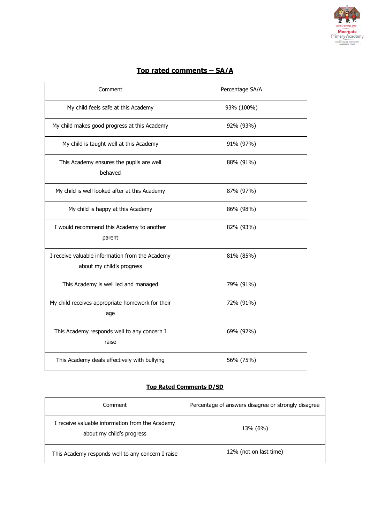

| Comment                                                                      | Percentage SA/A |
|------------------------------------------------------------------------------|-----------------|
| My child feels safe at this Academy                                          | 93% (100%)      |
| My child makes good progress at this Academy                                 | 92% (93%)       |
| My child is taught well at this Academy                                      | 91% (97%)       |
| This Academy ensures the pupils are well<br>behaved                          | 88% (91%)       |
| My child is well looked after at this Academy                                | 87% (97%)       |
| My child is happy at this Academy                                            | 86% (98%)       |
| I would recommend this Academy to another<br>parent                          | 82% (93%)       |
| I receive valuable information from the Academy<br>about my child's progress | 81% (85%)       |
| This Academy is well led and managed                                         | 79% (91%)       |
| My child receives appropriate homework for their<br>age                      | 72% (91%)       |
| This Academy responds well to any concern I<br>raise                         | 69% (92%)       |
| This Academy deals effectively with bullying                                 | 56% (75%)       |

# **Top rated comments – SA/A**

## **Top Rated Comments D/SD**

| Comment                                                                      | Percentage of answers disagree or strongly disagree |
|------------------------------------------------------------------------------|-----------------------------------------------------|
| I receive valuable information from the Academy<br>about my child's progress | 13% (6%)                                            |
| This Academy responds well to any concern I raise                            | 12% (not on last time)                              |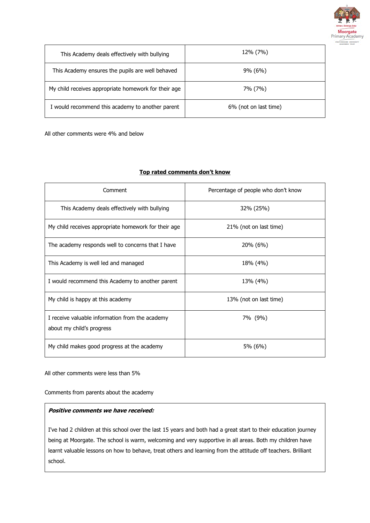

| This Academy deals effectively with bullying         | 12% (7%)              |
|------------------------------------------------------|-----------------------|
| This Academy ensures the pupils are well behaved     | $9\% (6\%)$           |
| My child receives appropriate homework for their age | 7% (7%)               |
| I would recommend this academy to another parent     | 6% (not on last time) |

All other comments were 4% and below

## **Top rated comments don't know**

| Comment                                                                      | Percentage of people who don't know |
|------------------------------------------------------------------------------|-------------------------------------|
| This Academy deals effectively with bullying                                 | 32% (25%)                           |
| My child receives appropriate homework for their age                         | 21% (not on last time)              |
| The academy responds well to concerns that I have                            | 20% (6%)                            |
| This Academy is well led and managed                                         | 18% (4%)                            |
| I would recommend this Academy to another parent                             | 13% (4%)                            |
| My child is happy at this academy                                            | 13% (not on last time)              |
| I receive valuable information from the academy<br>about my child's progress | 7% (9%)                             |
| My child makes good progress at the academy                                  | 5% (6%)                             |

All other comments were less than 5%

Comments from parents about the academy

### **Positive comments we have received:**

I've had 2 children at this school over the last 15 years and both had a great start to their education journey being at Moorgate. The school is warm, welcoming and very supportive in all areas. Both my children have learnt valuable lessons on how to behave, treat others and learning from the attitude off teachers. Brilliant school.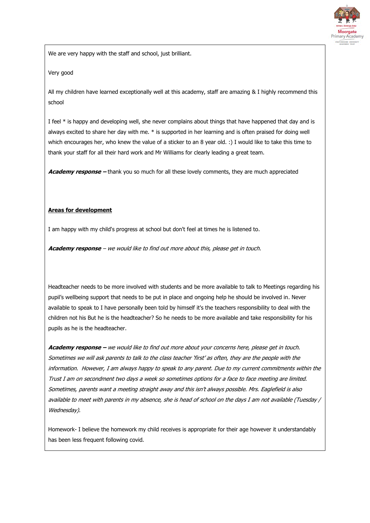

We are very happy with the staff and school, just brilliant.

Very good

All my children have learned exceptionally well at this academy, staff are amazing & I highly recommend this school

I feel \* is happy and developing well, she never complains about things that have happened that day and is always excited to share her day with me. \* is supported in her learning and is often praised for doing well which encourages her, who knew the value of a sticker to an 8 year old. :) I would like to take this time to thank your staff for all their hard work and Mr Williams for clearly leading a great team.

**Academy response –** thank you so much for all these lovely comments, they are much appreciated

#### **Areas for development**

I am happy with my child's progress at school but don't feel at times he is listened to.

**Academy response** – we would like to find out more about this, please get in touch.

Headteacher needs to be more involved with students and be more available to talk to Meetings regarding his pupil's wellbeing support that needs to be put in place and ongoing help he should be involved in. Never available to speak to I have personally been told by himself it's the teachers responsibility to deal with the children not his But he is the headteacher? So he needs to be more available and take responsibility for his pupils as he is the headteacher.

**Academy response –** we would like to find out more about your concerns here, please get in touch. Sometimes we will ask parents to talk to the class teacher 'first' as often, they are the people with the information. However, I am always happy to speak to any parent. Due to my current commitments within the Trust I am on secondment two days a week so sometimes options for a face to face meeting are limited. Sometimes, parents want a meeting straight away and this isn't always possible. Mrs. Eaglefield is also available to meet with parents in my absence, she is head of school on the days I am not available (Tuesday / Wednesday).

Homework- I believe the homework my child receives is appropriate for their age however it understandably has been less frequent following covid.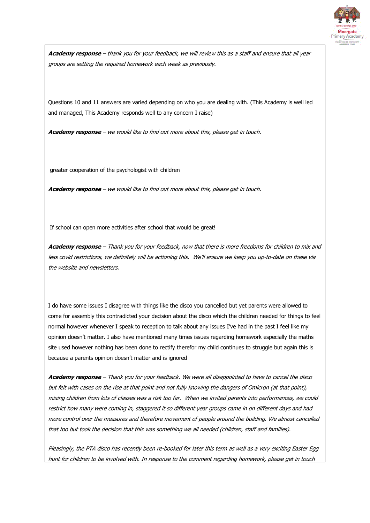

**Academy response** – thank you for your feedback, we will review this as a staff and ensure that all year groups are setting the required homework each week as previously.

Questions 10 and 11 answers are varied depending on who you are dealing with. (This Academy is well led and managed, This Academy responds well to any concern I raise)

**Academy response** – we would like to find out more about this, please get in touch.

greater cooperation of the psychologist with children

**Academy response** – we would like to find out more about this, please get in touch.

If school can open more activities after school that would be great!

**Academy response** – Thank you for your feedback, now that there is more freedoms for children to mix and less covid restrictions, we definitely will be actioning this. We'll ensure we keep you up-to-date on these via the website and newsletters.

I do have some issues I disagree with things like the disco you cancelled but yet parents were allowed to come for assembly this contradicted your decision about the disco which the children needed for things to feel normal however whenever I speak to reception to talk about any issues I've had in the past I feel like my opinion doesn't matter. I also have mentioned many times issues regarding homework especially the maths site used however nothing has been done to rectify therefor my child continues to struggle but again this is because a parents opinion doesn't matter and is ignored

**Academy response** – Thank you for your feedback. We were all disappointed to have to cancel the disco but felt with cases on the rise at that point and not fully knowing the dangers of Omicron (at that point), mixing children from lots of classes was a risk too far. When we invited parents into performances, we could restrict how many were coming in, staggered it so different year groups came in on different days and had more control over the measures and therefore movement of people around the building. We almost cancelled that too but took the decision that this was something we all needed (children, staff and families).

Pleasingly, the PTA disco has recently been re-booked for later this term as well as a very exciting Easter Egg hunt for children to be involved with. In response to the comment regarding homework, please get in touch